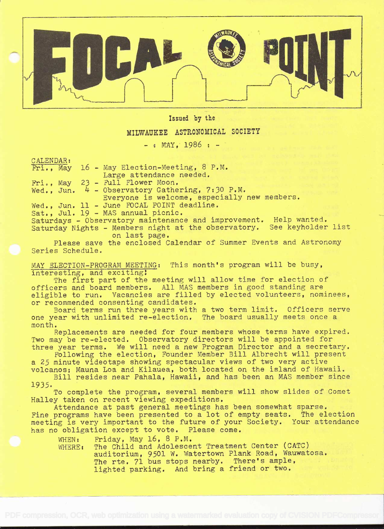

Issued by the

## MILWAUKEZ ASTRONOMICAL SOCIETY

 $-$  : MAY. 1986 :  $-$ 

CALENDAR:

 $Fri.$ , May 16 - May Election-Meeting, 8 P.M. Large attendance needed. Fri., May 23 - Full Flower Moon. Wed., Jun.  $4$  - Observatory Gathering, 7:30 P.M. Everyone is welcome, especially new members. Wed., Jun. 11 - June FOCAL POINT deadline. Sat., Jul. 19 - MAS annual picnic. Saturdays - Observatory maintenance and improvement. Help wanted. Saturday Nights - Members night at the observatory. See keyholder list

on last page.

Please save the enclosed Calendar of Summer Events and Astronomy Series Schedule,

MAY ELECTION-PROGRAM MEETING: This month's program will be busy, interesting, and exciting!

The first part of the meeting will allow time for election of officers and board members. All MAS members in good standing are eligible to run. Vacancies are filled by elected volunteers, nominees, or recommended consenting candidates.

Board terms run three years with a two term limit, Officers serve one year with unlimited re-election. The board usually meets once a month.

Replacements are needed for four members whose terms have expired. Two may be re-elected. Observatory directors will be appointed for three year terms. We will need a new Program Director and a secretary.

Following the election, Founder Member Bill Albrecht will present a 25 minute videotape showing spectacular views of two very active volcanos; Mauna Loa and Kilauea, both located on the island of Hawaii.

Bill resides near Pahala, Hawaii, and has been an MAS member since 1935.

To complete the program, several members will show slides of Comet Halley taken on recent viewing expeditions.

Attendance at past general meetings has been somewhat sparse. Fine programs have been presented to a lot of empty seats, The election meeting is very important to the future of your Society. Your attendance has no obligation except to vote. Please come.

WHEN: Friday, May 16, 8 P.M.

WHERE: The Child and Adolescent Treatment Center (CATC) auditorium, 9501 W. Watertown Plank Road, Wauwatosa. The rte. 71 bus stops nearby. There's ample, lighted parking. And bring a friend or two.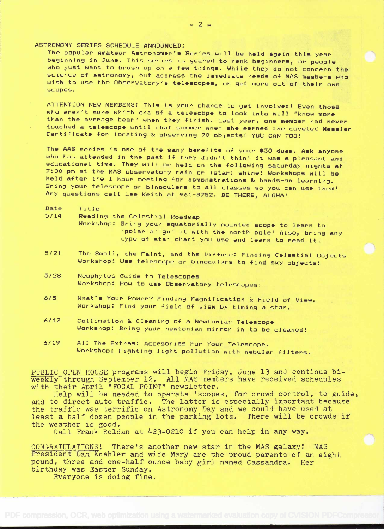ASTRONOMY SERIES SCHEDULE ANNOUNCED:

The popular Amateur Astronomer's Series will be held again this year<br>beginning in June. This series is geared to rank beginners, or people<br>who just want to brush up on a few things. While they do not concern the<br>science of scopes.

ATTENTION NEW MEMBERS: This is your chance to get involved! Even those<br>who aren't sure which end of a telescope to look into will "know more than the average bear" when they finish. Last year, one member had never<br>touched a telescope until that summer when she earned the coveted Messier<br>Certificate for locating & observing 70 objects! YOU CAN TOO!

The AAS series is one of the many benefits of your \$30 dues. Ask anyone who has attended in the past if they didn't think it was a pleasant and educational time. They will be held on the following saturday nights at 7:00 p Any questions call Lee Keith at 961-8752. BE THERE, ALOHA!

- Date Title<br>5/14 Readi
	- Reading the Celestial Roadmap
		- Workshop: Bring your equatorially mounted scope to learn to "polar align" it with the north pole! Also, bring any<br>type of star chart you use and learn to read it!
- 5/21 The Small, the Faint, and the Diffuse: Finding Celestial Objects Workshop: Use telescope or- binocular-s to find sky objects!
- 5/28 Neophytes Guide to Telescopes Workshop: How to use Obser-vator-y telescopes!
- 6/5 What's Your- Power? Finding Magnification & Field of View. Workshop: Find your field of view by timing a star.
- 6/12 Collimation & Cleaning of a Newtonian Telescope<br>Workshop: Bring your newtonian mirror in to be cleaned!
- 8/19 All The Extras: Accesories For- Your Telescope. Wor-kshop: Fighting light pollution with nebular- filters.

PUBLIC OPEN HOUSE programs will begin Friday, June 13 and continue biweekly through September 12. All MAS members have received schedules with their April "FOCAL POINT" newsletter.

Help will be needed to operate 'scopes, for crowd control, to guide, and to direct auto traffic. The latter is especially important because the traffic was terrific on Astronomy Day and we could have used at least a half dozen people in the parking lots. There will be crowds if the weather is good.

Call Frank Roldan at  $423-0210$  if you can help in any way.

CONGRATULATIONS! There's another new star in the MAS galaxy! MAS President Dan Koehler and wife Mary are the proud parents of an eight pound, three and one-half ounce baby girl named Cassandra. Her birthday was Easter Sunday.

Everyone is doing fine.

-2-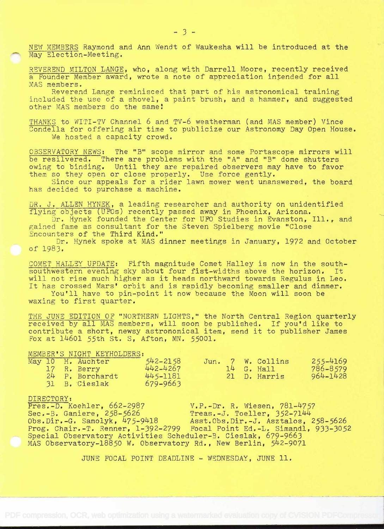NEW MEMBERS Raymond and Ann Wendt of Waukesha will be introduced at the May Election-Meeting.

REVEREND MILTON LANGE, who, along with Darrell Moore, recently received a Pounder Member award, wrote a note of appreciation intended for all MAS members.

Reverend Lange reminisced that part of his astronomical training included the use of a shovel, a paint brush, and a hammer, and suggested other MAS members do the same!

THANKS to WITI-TV Channel 6 and TV-6 weatherman (and MAS member) Vince Condella for offering air time to publicize our Astronomy Day Open House. We hosted a capacity crowd.

OBSERVATORY NEWS: The "B" scope mirror and some Portascope mirrors will be resilvered. There are problems with the "A" and "B" dome shutters owing to binding. Until they are repaired observers may have to favor them so they open or close properly. Use force gently.

Since our appeals for a rider lawn mower went unanswered, the board has decided to purchase a machine.

DR. J. ALLEN HYNEK, a leading researcher and authority on unidentified flying objects (UFOs) recently passed away in Phoenix, Arizona.

Dr. Hynek founded the Center for UFO Studies in Evanston, Ill., and gained fame as consultant for the Steven Spielberg movie "Close Encounters of the Third Kind."

Dr. Hynek spoke at MAS dinner meetings in January, 1972 and October of 1983.

COMET HALLEY UPDATE: Fifth magnitude Comet Halley is now in the southsouthwestern evening sky about four fist-widths above the horizon. It will not rise much higher as it heads northward towards Regulus in Leo. It has crossed Mars' orbit and is rapidly becoming smaller and dimmer. You'll have to pin-point it now because the Moon will soon be

waxing to first quarter.

THE JUNE EDITION OF "NORTHERN LIGHTS," the North Central Region quarterly received by all MAS members, will soon be published. If you'd like to contribute a short, newsy astronomical item, send it to publisher James Fox at 14601 55th St. S, Afton, MN. 55001.

# MEMBER'S NIGHT KEYHOLDERS:<br>May 10 H. Auchter

|  | May 10 H. Auchter | $542 - 2158$ |  | Jun. 7 W. Collins | $255 - 4169$ |
|--|-------------------|--------------|--|-------------------|--------------|
|  | 17 R. Berry       | 442-4267     |  | $14$ G. Hall      | 786-8579     |
|  | 24 P. Borchardt   | 445-1181     |  | 21 D. Harris      | 964-1428     |
|  | 31 B. Cieslak     | 679-9663     |  |                   |              |

DIRECTORY:<br>Pres.-D. Koehler, 662-2987 5iEès.-D. Koehler, 662-2987 V,P.-Dr. R. Wiesen, 78l-757 Sec.-B. Ganiere, 258-5626 Treas.-J. Toeller, 352-7144<br>Obs.Dir.-G. Samolyk, 475-9418 Asst.Obs.Dir.-J. Asztalos, Asst.Obs.Dir.-J. Asztalos, 258-5626 Frog. Chair.-T. Renner, l-392-2799 Focal Point Ed.-L. Simandi, 933-3052 Special Observatory Activities Scheduler-B. Cieslak, 679-9663 MAS Observatory-18850 W. Observatory Rd., New Berlin, 542-9071

JUNE FOCAL POINT DEADLINE  $\sim$  WEDNESDAY, JUNE 11.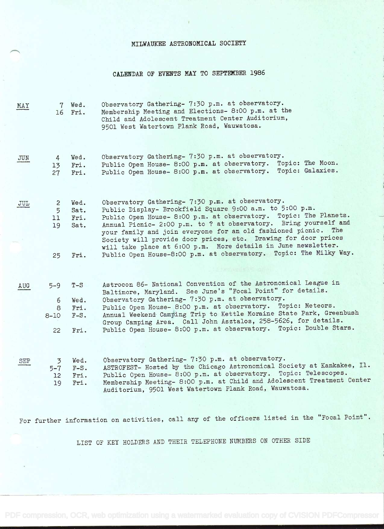#### MILWAUKEE ASTRONOMICAL SOCIETY

### CALENDAR OF EVENTS MAY TO SEPTEMBER 1986

MAY 7 Wed. Observatory Gathering- 7:30 p.m. at observatory.<br>16 Fri. Membership Meeting and Elections- 8:00 p.m. at t Membership Meeting and Elections- 8:00 p.m. at the Child and Adolescent Treatment Center Auditorium, 9501 West Watertown Plank Road, Wauwatosa.

JUN 4 Wed. Observatory Gathering- 7:30 p.m. at observatory.<br>13 Fri. Public Open House- 8:00 p.m. at observatory. To Public Open House- 8:00 p.m. at observatory. Topic: The Moon. <sup>27</sup>Fri. Public Open House- 8:00 p.m. at observatory. Topic: Galaxies.

| JUL | 5.<br>11 -<br>19 | 2 Wed.<br>Sat.<br>Fri.<br>Sat. | Observatory Gathering- 7:30 p.m. at observatory.<br>Public Display- Brookfield Square 9:00 a.m. to 5:00 p.m.<br>Public Open House- 8:00 p.m. at observatory. Topic: The Planets.<br>Annual Picnic- 2:00 p.m. to ? at observatory. Bring yourself and<br>your family and join everyone for an old fashioned picnic. The |
|-----|------------------|--------------------------------|------------------------------------------------------------------------------------------------------------------------------------------------------------------------------------------------------------------------------------------------------------------------------------------------------------------------|
|     | 25.              | Fri.                           | Society will provide door prices, etc. Drawing for door prices<br>will take place at 6:00 p.m. More details in June newsletter.<br>Public Open House-8:00 p.m. at observatory. Topic: The Milky Way.                                                                                                                   |

AUG 5-9 T-S Astrocon 86- National Convention of the Astronomical League in Baltimore, Maryland. See June's "Focal Point" for details. <sup>6</sup>Wed. Observatory Gathering- 7:30 p.m. at observatory. 8 Fri. Public Open House- 8:00 p.m. at observatory. Topic: Meteors. 8-lO F-S. Annual Weekend Camping Trip to Kettle Moraine State Park, Greenbush Group Camping Area. Call John Asztalos, 258-5626, for details. 22 Fri. Public Open House- 8:00 p.m. at observatory. Topic: Double Stars.

SEP

<sup>3</sup>Wed. Observatory Gathering- 7:30 p.m. at observatory. 5-7 F-S. ASTROFEST- Hosted by the Chicago Astronomical Society at Kankakee, Il. <sup>12</sup>Fri. Public Open House- 8:00 p.m. at observatory. Topic: Telescopes. 19 Fri. Membership Meeting- 8:00 p.m. at Child and Adolescent Treatment Center Auditorium,95O1 West Watertown Plank Road, Wauwatosa.

For further information on activities, call any of the officers listed in the "Focal Point".

LIST OF KEY HOLDERS AND THEIR TELEPHONE NUMBERS ON OTHER SIDE